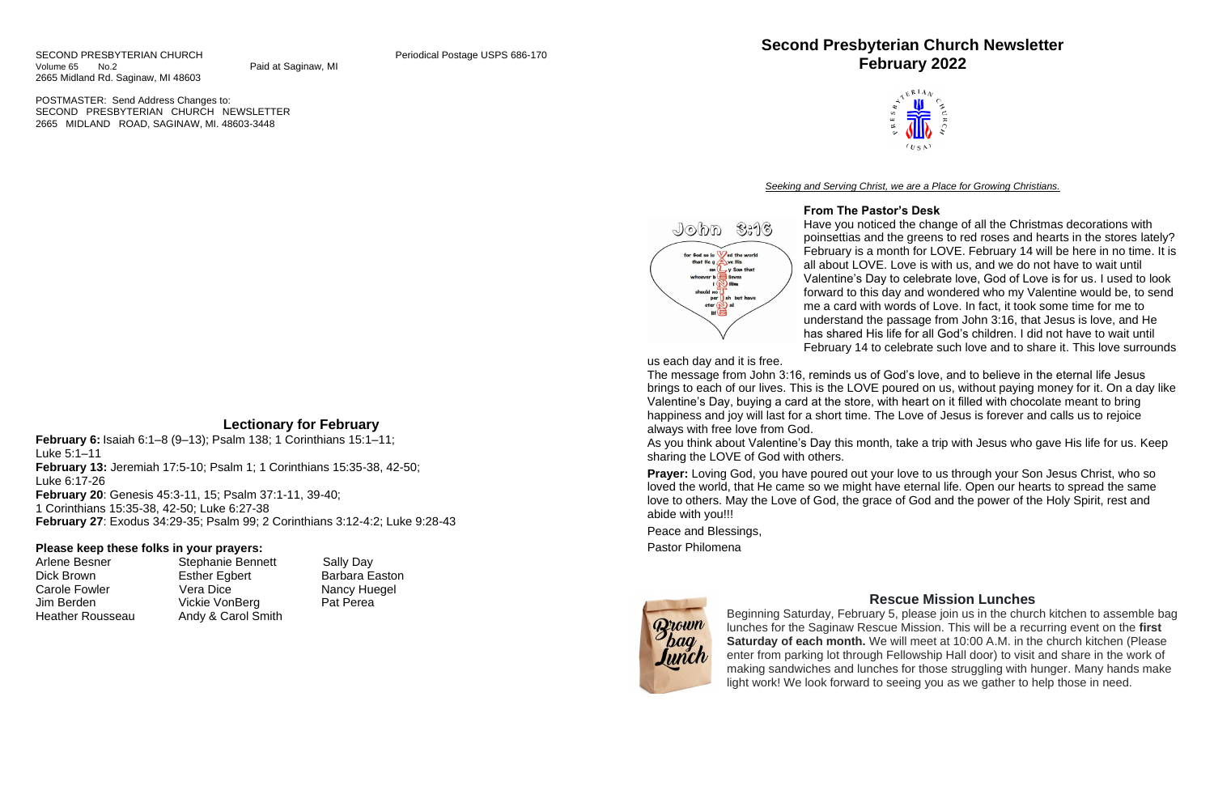POSTMASTER: Send Address Changes to: SECOND PRESBYTERIAN CHURCH NEWSLETTER 2665 MIDLAND ROAD, SAGINAW, MI. 48603-3448

# **Lectionary for February**

Arlene Besner Stephanie Bennett Sally Day Dick Brown **Esther Egbert** Barbara Easton Carole Fowler **Vera Dice** Nancy Huegel Jim Berden Vickie VonBerg Pat Perea





**February 6:** Isaiah 6:1–8 (9–13); Psalm 138; 1 Corinthians 15:1–11; Luke 5:1–11 **February 13:** Jeremiah 17:5-10; Psalm 1; 1 Corinthians 15:35-38, 42-50; Luke 6:17-26 **February 20**: Genesis 45:3-11, 15; Psalm 37:1-11, 39-40; 1 Corinthians 15:35-38, 42-50; Luke 6:27-38 **February 27**: Exodus 34:29-35; Psalm 99; 2 Corinthians 3:12-4:2; Luke 9:28-43

### **Please keep these folks in your prayers:**

Heather Rousseau Andy & Carol Smith

# **Second Presbyterian Church Newsletter February 2022**

*Seeking and Serving Christ, we are a Place for Growing Christians.*

### **From The Pastor's Desk**

Have you noticed the change of all the Christmas decorations with poinsettias and the greens to red roses and hearts in the stores lately? February is a month for LOVE. February 14 will be here in no time. It is all about LOVE. Love is with us, and we do not have to wait until Valentine's Day to celebrate love, God of Love is for us. I used to look forward to this day and wondered who my Valentine would be, to send me a card with words of Love. In fact, it took some time for me to understand the passage from John 3:16, that Jesus is love, and He has shared His life for all God's children. I did not have to wait until February 14 to celebrate such love and to share it. This love surrounds

us each day and it is free.

John 3:16

for God so lo **W**ed the world<br>that He g on  $\mathbf{L}_\mathbf{Y}$  Son that whoever b<br>
I N Him should no

> eter  $\mathbb{N}$  al  $H \bullet$

sh but have

The message from John 3:16, reminds us of God's love, and to believe in the eternal life Jesus brings to each of our lives. This is the LOVE poured on us, without paying money for it. On a day like Valentine's Day, buying a card at the store, with heart on it filled with chocolate meant to bring happiness and joy will last for a short time. The Love of Jesus is forever and calls us to rejoice always with free love from God.

As you think about Valentine's Day this month, take a trip with Jesus who gave His life for us. Keep sharing the LOVE of God with others.

**Prayer:** Loving God, you have poured out your love to us through your Son Jesus Christ, who so loved the world, that He came so we might have eternal life. Open our hearts to spread the same love to others. May the Love of God, the grace of God and the power of the Holy Spirit, rest and abide with you!!!

Peace and Blessings,

Pastor Philomena



### **Rescue Mission Lunches**

Beginning Saturday, February 5, please join us in the church kitchen to assemble bag lunches for the Saginaw Rescue Mission. This will be a recurring event on the **first Saturday of each month.** We will meet at 10:00 A.M. in the church kitchen (Please enter from parking lot through Fellowship Hall door) to visit and share in the work of making sandwiches and lunches for those struggling with hunger. Many hands make light work! We look forward to seeing you as we gather to help those in need.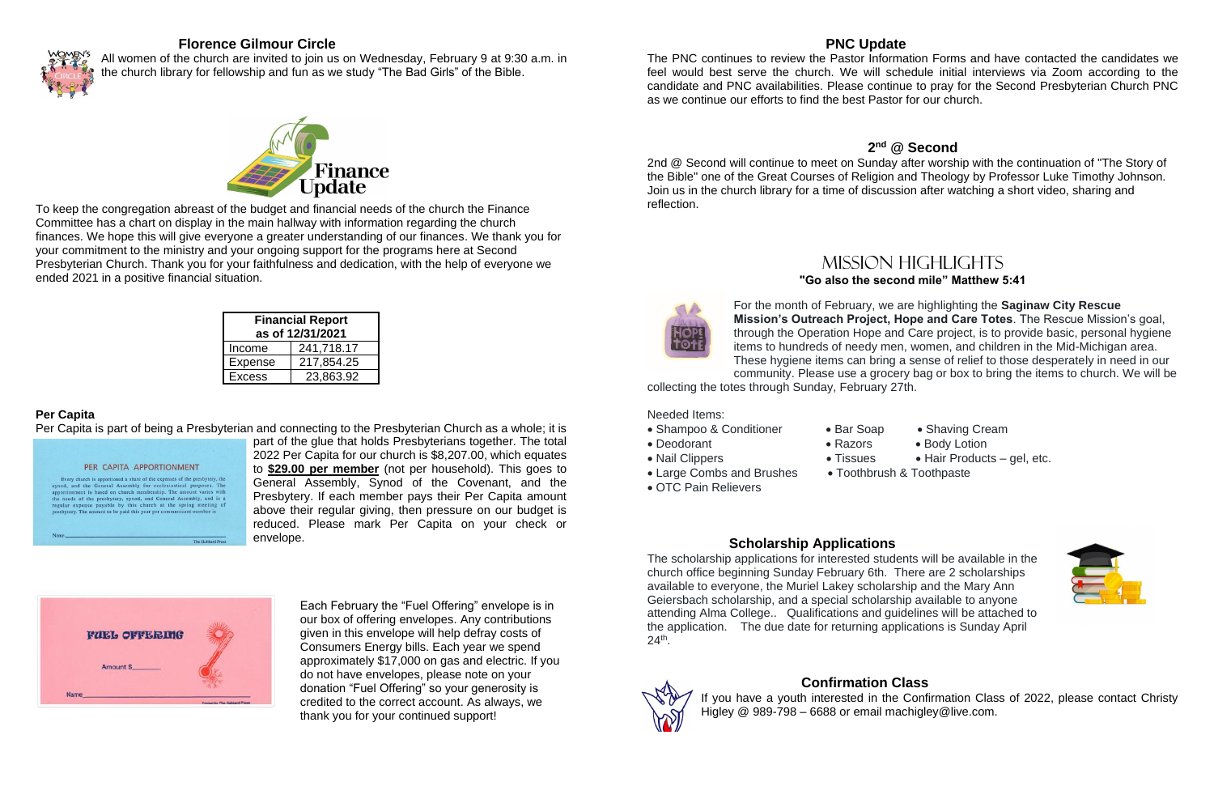## **Florence Gilmour Circle**



All women of the church are invited to join us on Wednesday, February 9 at 9:30 a.m. in the church library for fellowship and fun as we study "The Bad Girls" of the Bible.



To keep the congregation abreast of the budget and financial needs of the church the Finance Committee has a chart on display in the main hallway with information regarding the church finances. We hope this will give everyone a greater understanding of our finances. We thank you for your commitment to the ministry and your ongoing support for the programs here at Second Presbyterian Church. Thank you for your faithfulness and dedication, with the help of everyone we ended 2021 in a positive financial situation.

| <b>Financial Report</b> |            |  |  |  |
|-------------------------|------------|--|--|--|
| as of 12/31/2021        |            |  |  |  |
| Income                  | 241,718.17 |  |  |  |
| <b>Expense</b>          | 217,854.25 |  |  |  |
| <b>Excess</b>           | 23,863.92  |  |  |  |

### **Per Capita**

Per Capita is part of being a Presbyterian and connecting to the Presbyterian Church as a whole; it is

PER CAPITA APPORTIONMENT Every church is apportioned a share of the expenses of the presbytery, the synod, and the General Assembly for ecclesiastical purposes. The apportionment is based on church membership. The amount varies with apportunement is oased on charten increasing. The amount varies what the needs of the presbytery, synod, and General Assembly, and is a regular expense payable by this church at the spring meeting of presbytery. The amount part of the glue that holds Presbyterians together. The total 2022 Per Capita for our church is \$8,207.00, which equates to **\$29.00 per member** (not per household). This goes to General Assembly, Synod of the Covenant, and the Presbytery. If each member pays their Per Capita amount above their regular giving, then pressure on our budget is reduced. Please mark Per Capita on your check or envelope.



Each February the "Fuel Offering" envelope is in our box of offering envelopes. Any contributions given in this envelope will help defray costs of Consumers Energy bills. Each year we spend approximately \$17,000 on gas and electric. If you do not have envelopes, please note on your donation "Fuel Offering" so your generosity is credited to the correct account. As always, we thank you for your continued support!

### **PNC Update**

The PNC continues to review the Pastor Information Forms and have contacted the candidates we feel would best serve the church. We will schedule initial interviews via Zoom according to the candidate and PNC availabilities. Please continue to pray for the Second Presbyterian Church PNC as we continue our efforts to find the best Pastor for our church.

## **2 nd @ Second**

2nd @ Second will continue to meet on Sunday after worship with the continuation of "The Story of the Bible" one of the Great Courses of Religion and Theology by Professor Luke Timothy Johnson. Join us in the church library for a time of discussion after watching a short video, sharing and reflection.



# Mission highlights **"Go also the second mile" Matthew 5:41**

### For the month of February, we are highlighting the **Saginaw City Rescue Mission's Outreach Project, Hope and Care Totes**. The Rescue Mission's goal, through the Operation Hope and Care project, is to provide basic, personal hygiene items to hundreds of needy men, women, and children in the Mid-Michigan area. These hygiene items can bring a sense of relief to those desperately in need in our community. Please use a grocery bag or box to bring the items to church. We will be

- 
- Deodorant **Razors** Body Lotion
- Nail Clippers Tissues Hair Products gel, etc.
	-



collecting the totes through Sunday, February 27th.

Needed Items:

- Shampoo & Conditioner Bar Soap Shaving Cream
- 
- 
- 
- OTC Pain Relievers
- 
- 
- Large Combs and Brushes Toothbrush & Toothpaste
- 
- 

## **Scholarship Applications**

The scholarship applications for interested students will be available in the church office beginning Sunday February 6th. There are 2 scholarships available to everyone, the Muriel Lakey scholarship and the Mary Ann Geiersbach scholarship, and a special scholarship available to anyone attending Alma College.. Qualifications and guidelines will be attached to the application. The due date for returning applications is Sunday April 24th .





If you have a youth interested in the Confirmation Class of 2022, please contact Christy Higley @ 989-798 – 6688 or email machigley@live.com.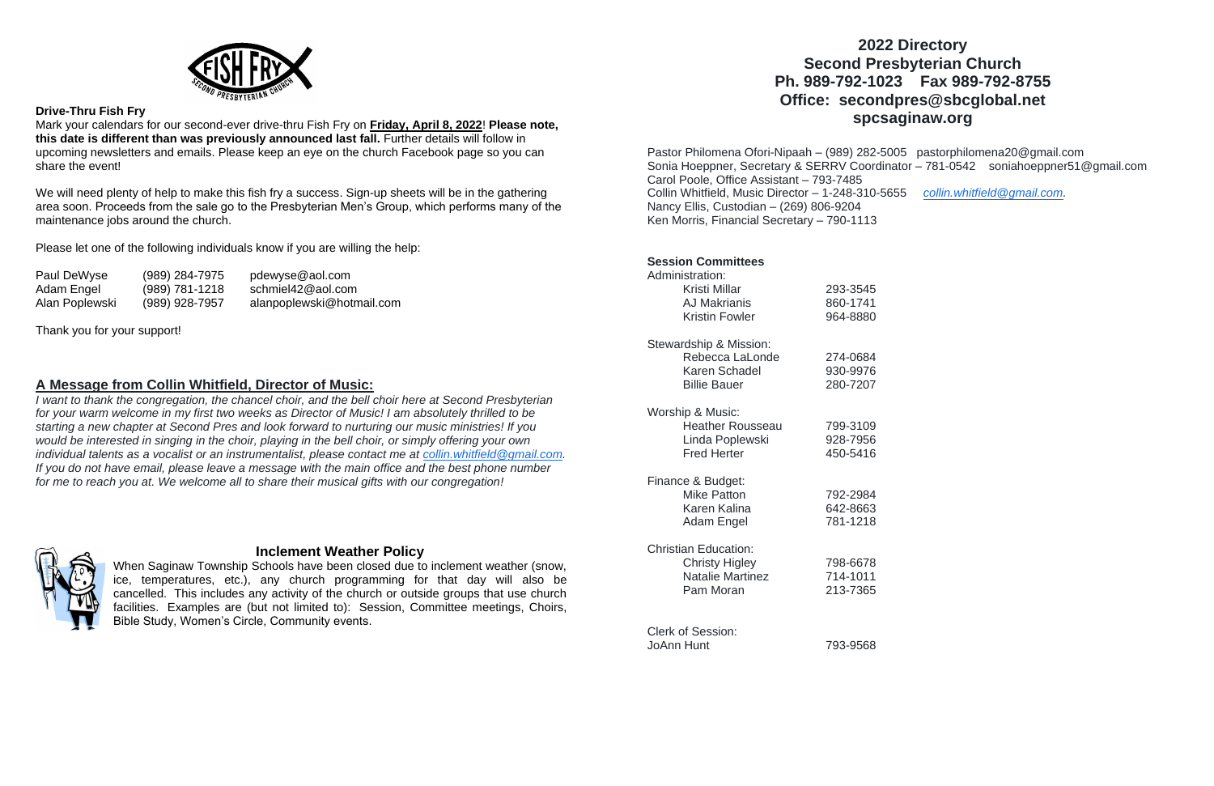

### **Drive-Thru Fish Fry**

Mark your calendars for our second-ever drive-thru Fish Fry on **Friday, April 8, 2022**! **Please note, this date is different than was previously announced last fall.** Further details will follow in upcoming newsletters and emails. Please keep an eye on the church Facebook page so you can share the event!

We will need plenty of help to make this fish fry a success. Sign-up sheets will be in the gathering area soon. Proceeds from the sale go to the Presbyterian Men's Group, which performs many of the maintenance jobs around the church.

Please let one of the following individuals know if you are willing the help:

| Paul DeWyse    | (989) 284-7975   | pdewyse@aol.com           |
|----------------|------------------|---------------------------|
| Adam Engel     | $(989)$ 781-1218 | schmiel42@aol.com         |
| Alan Poplewski | (989) 928-7957   | alanpoplewski@hotmail.com |

Thank you for your support!

### **A Message from Collin Whitfield, Director of Music:**

*I want to thank the congregation, the chancel choir, and the bell choir here at Second Presbyterian for your warm welcome in my first two weeks as Director of Music! I am absolutely thrilled to be starting a new chapter at Second Pres and look forward to nurturing our music ministries! If you would be interested in singing in the choir, playing in the bell choir, or simply offering your own individual talents as a vocalist or an instrumentalist, please contact me at [collin.whitfield@gmail.com.](mailto:collin.whitfield@gmail.com) If you do not have email, please leave a message with the main office and the best phone number for me to reach you at. We welcome all to share their musical gifts with our congregation!*



## **Inclement Weather Policy**

When Saginaw Township Schools have been closed due to inclement weather (snow, ice, temperatures, etc.), any church programming for that day will also be cancelled. This includes any activity of the church or outside groups that use church facilities. Examples are (but not limited to): Session, Committee meetings, Choirs, Bible Study, Women's Circle, Community events.

# **2022 Directory Second Presbyterian Church Ph. 989-792-1023 Fax 989-792-8755 Office: secondpres@sbcglobal.net spcsaginaw.org**

Pastor Philomena Ofori-Nipaah – (989) 282-5005 pastorphilomena20@gmail.com Sonia Hoeppner, Secretary & SERRV Coordinator – 781-0542 soniahoeppner51@gmail.com Carol Poole, Office Assistant – 793-7485 Collin Whitfield, Music Director – 1-248-310-5655 *[collin.whitfield@gmail.com.](mailto:collin.whitfield@gmail.com)* Nancy Ellis, Custodian – (269) 806-9204 Ken Morris, Financial Secretary – 790-1113

| <b>Session Committees</b><br>Administration:                                                 |                                  |
|----------------------------------------------------------------------------------------------|----------------------------------|
| Kristi Millar<br><b>AJ Makrianis</b><br><b>Kristin Fowler</b>                                | 293-3545<br>860-1741<br>964-8880 |
|                                                                                              |                                  |
| Stewardship & Mission:<br>Rebecca LaLonde<br>Karen Schadel<br><b>Billie Bauer</b>            | 274-0684<br>930-9976<br>280-7207 |
| Worship & Music:<br><b>Heather Rousseau</b><br>Linda Poplewski<br><b>Fred Herter</b>         | 799-3109<br>928-7956<br>450-5416 |
| Finance & Budget:<br><b>Mike Patton</b><br>Karen Kalina<br><b>Adam Engel</b>                 | 792-2984<br>642-8663<br>781-1218 |
| <b>Christian Education:</b><br><b>Christy Higley</b><br><b>Natalie Martinez</b><br>Pam Moran | 798-6678<br>714-1011<br>213-7365 |
| <b>Clerk of Session:</b><br>JoAnn Hunt                                                       | 793-9568                         |